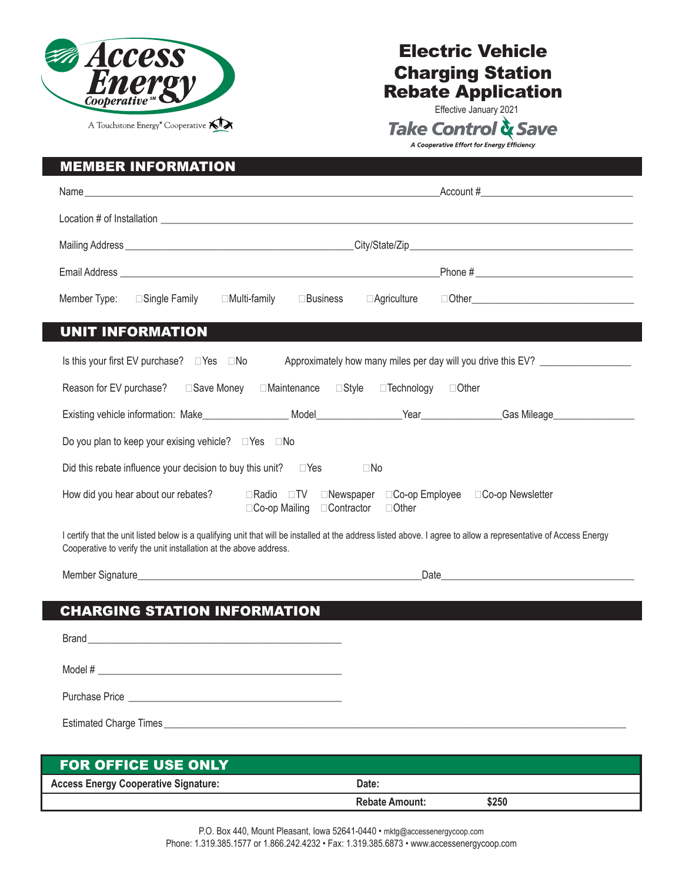

## Electric Vehicle Charging Station Rebate Application

Effective January 2021<br>Take Control & Save A Cooperative Effort for Energy Efficiency

|                                                                         | Name $\overline{\phantom{a}}$ Account #                                                                                                                                                                                        |  |  |
|-------------------------------------------------------------------------|--------------------------------------------------------------------------------------------------------------------------------------------------------------------------------------------------------------------------------|--|--|
|                                                                         |                                                                                                                                                                                                                                |  |  |
|                                                                         |                                                                                                                                                                                                                                |  |  |
|                                                                         | Email Address experience and the contract of the contract of the contract of the contract of the contract of the contract of the contract of the contract of the contract of the contract of the contract of the contract of t |  |  |
| Member Type: □ Single Family                                            | □ Multi-family<br>$\square$ Business<br>⊟Agriculture                                                                                                                                                                           |  |  |
| <b>UNIT INFORMATION</b>                                                 |                                                                                                                                                                                                                                |  |  |
| Is this your first EV purchase? $\Box$ Yes $\Box$ No                    | Approximately how many miles per day will you drive this EV?                                                                                                                                                                   |  |  |
|                                                                         | Reason for EV purchase? □ Save Money □ Maintenance □ Style □ Technology □ Other                                                                                                                                                |  |  |
|                                                                         |                                                                                                                                                                                                                                |  |  |
| Do you plan to keep your exising vehicle? $\square$ Yes $\square$ No    |                                                                                                                                                                                                                                |  |  |
| Did this rebate influence your decision to buy this unit? $\square$ Yes | $\Box$ No                                                                                                                                                                                                                      |  |  |
|                                                                         | How did you hear about our rebates?<br>□Radio □TV □Newspaper □Co-op Employee □Co-op Newsletter<br>□Co-op Mailing □Contractor □Other                                                                                            |  |  |
| Cooperative to verify the unit installation at the above address.       | I certify that the unit listed below is a qualifying unit that will be installed at the address listed above. I agree to allow a representative of Access Energy                                                               |  |  |
|                                                                         |                                                                                                                                                                                                                                |  |  |
| <b>CHARGING STATION INFORMATION</b>                                     |                                                                                                                                                                                                                                |  |  |
|                                                                         |                                                                                                                                                                                                                                |  |  |
|                                                                         |                                                                                                                                                                                                                                |  |  |
|                                                                         |                                                                                                                                                                                                                                |  |  |
|                                                                         |                                                                                                                                                                                                                                |  |  |

Estimated Charge Times \_\_\_\_\_\_\_\_\_\_\_\_\_\_\_\_\_\_\_\_\_\_\_\_\_\_\_\_\_\_\_\_\_\_\_\_\_\_\_\_\_\_\_\_\_\_\_\_\_\_\_\_\_\_\_\_\_\_\_\_\_\_\_\_\_\_\_\_\_\_\_\_\_\_\_\_\_\_\_\_\_\_\_\_\_\_\_\_\_\_\_

| <b>FOR OFFICE USE ONLY</b>                  |                       |       |
|---------------------------------------------|-----------------------|-------|
| <b>Access Energy Cooperative Signature:</b> | Date:                 |       |
|                                             | <b>Rebate Amount:</b> | \$250 |